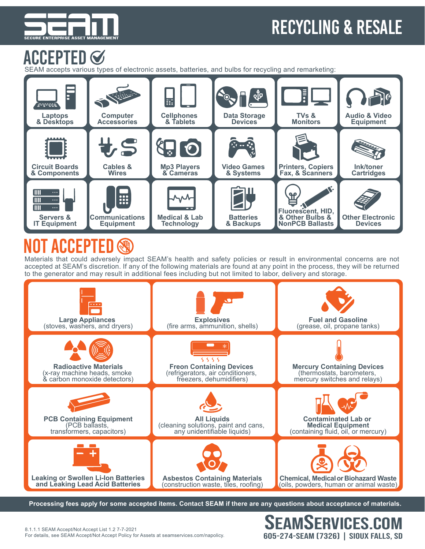

## recycling & Resale

EAMSERVICES.COM

605-274-SEAM (7326) | Sioux Falls, SD

### Accepted

SEAM accepts various types of electronic assets, batteries, and bulbs for recycling and remarketing:



## Not Accepted

Materials that could adversely impact SEAM's health and safety policies or result in environmental concerns are not accepted at SEAM's discretion. If any of the following materials are found at any point in the process, they will be returned to the generator and may result in additional fees including but not limited to labor, delivery and storage.



**Processing fees apply for some accepted items. Contact SEAM if there are any questions about acceptance of materials.**

8.1.1.1 SEAM Accept/Not Accept List 1.2 7-7-2021 For details, see SEAM Accept/Not Accept Policy for Assets at seamservices.com/napolicy.